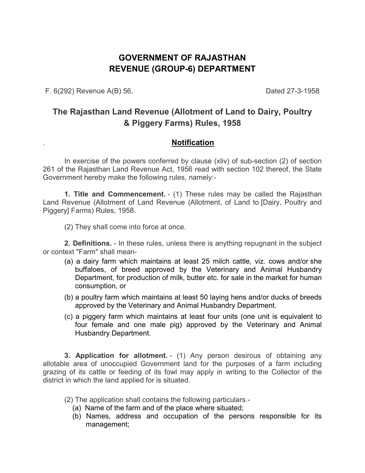# **GOVERNMENT OF RAJASTHAN REVENUE (GROUP-6) DEPARTMENT**

F. 6(292) Revenue A(B) 56, Dated 27-3-1958

# **The Rajasthan Land Revenue (Allotment of Land to Dairy, Poultry & Piggery Farms) Rules, 1958**

## *.* **Notification**

In exercise of the powers conferred by clause (xliv) of sub-section (2) of section 261 of the Rajasthan Land Revenue Act, 1956 read with section 102 thereof, the State Government hereby make the following rules, namely:-

**1. Title and Commencement.** - (1) These rules may be called the Rajasthan Land Revenue (Allotment of Land Revenue (Allotment, of Land to [Dairy, Poultry and Piggery] Farms) Rules, 1958.

(2) They shall come into force at once.

**2. Definitions.** - In these rules, unless there is anything repugnant in the subject or context "Farm" shall mean-

- (a) a dairy farm which maintains at least 25 milch cattle, viz. cows and/or she buffaloes, of breed approved by the Veterinary and Animal Husbandry Department, for production of milk, butter etc. for sale in the market for human consumption, or
- (b) a poultry farm which maintains at least 50 laying hens and/or ducks of breeds approved by the Veterinary and Animal Husbandry Department.
- (c) a piggery farm which maintains at least four units (one unit is equivalent to four female and one male pig) approved by the Veterinary and Animal Husbandry Department.

**3. Application for allotment.** - (1) Any person desirous of obtaining any allotable area of unoccupied Government land for the purposes of a farm including grazing of its cattle or feeding of its fowl may apply in writing to the Collector of the district in which the land applied for is situated.

(2) The application shall contains the following particulars.-

- (a) Name of the farm and of the place where situated;
- (b) Names, address and occupation of the persons responsible for its management;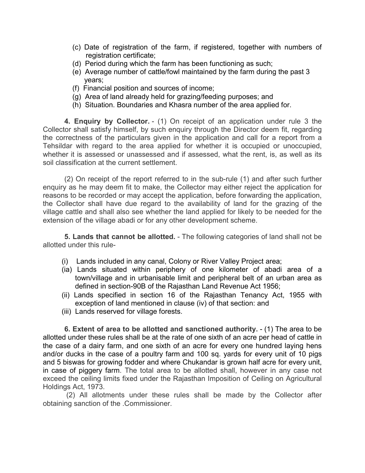- (c) Date of registration of the farm, if registered, together with numbers of registration certificate;
- (d) Period during which the farm has been functioning as such;
- (e) Average number of cattle/fowl maintained by the farm during the past 3 years;
- (f) Financial position and sources of income;
- (g) Area of land already held for grazing/feeding purposes; and
- (h) Situation. Boundaries and Khasra number of the area applied for.

**4. Enquiry by Collector.** - (1) On receipt of an application under rule 3 the Collector shall satisfy himself, by such enquiry through the Director deem fit, regarding the correctness of the particulars given in the application and call for a report from a Tehsildar with regard to the area applied for whether it is occupied or unoccupied, whether it is assessed or unassessed and if assessed, what the rent, is, as well as its soil classification at the current settlement.

(2) On receipt of the report referred to in the sub-rule (1) and after such further enquiry as he may deem fit to make, the Collector may either reject the application for reasons to be recorded or may accept the application, before forwarding the application, the Collector shall have due regard to the availability of land for the grazing of the village cattle and shall also see whether the land applied for likely to be needed for the extension of the village abadi or for any other development scheme.

**5. Lands that cannot be allotted.** - The following categories of land shall not be allotted under this rule-

- (i) Lands included in any canal, Colony or River Valley Project area;
- (ia) Lands situated within periphery of one kilometer of abadi area of a town/village and in urbanisable limit and peripheral belt of an urban area as defined in section-90B of the Rajasthan Land Revenue Act 1956;
- (ii) Lands specified in section 16 of the Rajasthan Tenancy Act, 1955 with exception of land mentioned in clause (iv) of that section: and
- (iii) Lands reserved for village forests.

**6. Extent of area to be allotted and sanctioned authority.** - (1) The area to be allotted under these rules shall be at the rate of one sixth of an acre per head of cattle in the case of a dairy farm, and one sixth of an acre for every one hundred laying hens and/or ducks in the case of a poultry farm and 100 sq. yards for every unit of 10 pigs and 5 biswas for growing fodder and where Chukandar is grown half acre for every unit, in case of piggery farm. The total area to be allotted shall, however in any case not exceed the ceiling limits fixed under the Rajasthan Imposition of Ceiling on Agricultural Holdings Act, 1973.

 (2) All allotments under these rules shall be made by the Collector after obtaining sanction of the .Commissioner.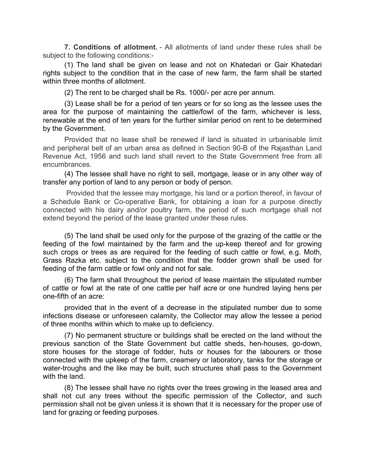**7. Conditions of allotment.** - All allotments of land under these rules shall be subject to the following conditions:-

(1) The land shall be given on lease and not on Khatedari or Gair Khatedari rights subject to the condition that in the case of new farm, the farm shall be started within three months of allotment.

(2) The rent to be charged shall be Rs. 1000/- per acre per annum.

(3) Lease shall be for a period of ten years or for so long as the lessee uses the area for the purpose of maintaining the cattle/fowl of the farm, whichever is less, renewable at the end of ten years for the further similar period on rent to be determined by the Government.

Provided that no lease shall be renewed if land is situated in urbanisable limit and peripheral belt of an urban area as defined in Section 90-B of the Rajasthan Land Revenue Act, 1956 and such land shall revert to the State Government free from all encumbrances.

(4) The lessee shall have no right to sell, mortgage, lease or in any other way of transfer any portion of land to any person or body of person.

 Provided that the lessee may mortgage, his land or a portion thereof, in favour of a Schedule Bank or Co-operative Bank, for obtaining a loan for a purpose directly connected with his dairy and/or poultry farm, the period of such mortgage shall not extend beyond the period of the lease granted under these rules.

(5) The land shall be used only for the purpose of the grazing of the cattle or the feeding of the fowl maintained by the farm and the up-keep thereof and for growing such crops or trees as are required for the feeding of such cattle or fowl, e.g. Moth, Grass Razka etc. subject to the condition that the fodder grown shall be used for feeding of the farm cattle or fowl only and not for sale.

(6) The farm shall throughout the period of lease maintain the stipulated number of cattle or fowl at the rate of one cattle per half acre or one hundred laying hens per one-fifth of an acre:

provided that in the event of a decrease in the stipulated number due to some infections disease or unforeseen calamity, the Collector may allow the lessee a period of three months within which to make up to deficiency.

(7) No permanent structure or buildings shall be erected on the land without the previous sanction of the State Government but cattle sheds, hen-houses, go-down, store houses for the storage of fodder, huts or houses for the labourers or those connected with the upkeep of the farm, creamery or laboratory, tanks for the storage or water-troughs and the like may be built, such structures shall pass to the Government with the land.

(8) The lessee shall have no rights over the trees growing in the leased area and shall not cut any trees without the specific permission of the Collector, and such permission shall not be given unless it is shown that it is necessary for the proper use of land for grazing or feeding purposes.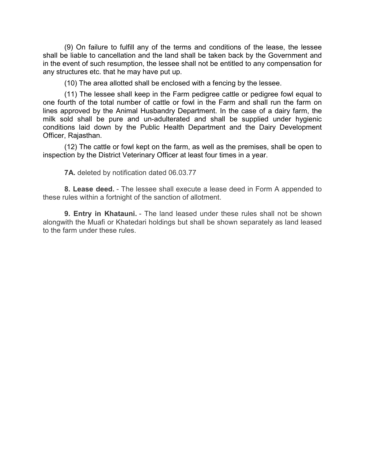(9) On failure to fulfill any of the terms and conditions of the lease, the lessee shall be liable to cancellation and the land shall be taken back by the Government and in the event of such resumption, the lessee shall not be entitled to any compensation for any structures etc. that he may have put up.

(10) The area allotted shall be enclosed with a fencing by the lessee.

(11) The lessee shall keep in the Farm pedigree cattle or pedigree fowl equal to one fourth of the total number of cattle or fowl in the Farm and shall run the farm on lines approved by the Animal Husbandry Department. In the case of a dairy farm, the milk sold shall be pure and un-adulterated and shall be supplied under hygienic conditions laid down by the Public Health Department and the Dairy Development Officer, Rajasthan.

(12) The cattle or fowl kept on the farm, as well as the premises, shall be open to inspection by the District Veterinary Officer at least four times in a year.

**7A.** deleted by notification dated 06.03.77

**8. Lease deed.** - The lessee shall execute a lease deed in Form A appended to these rules within a fortnight of the sanction of allotment.

**9. Entry in Khatauni.** - The land leased under these rules shall not be shown alongwith the Muafi or Khatedari holdings but shall be shown separately as land leased to the farm under these rules.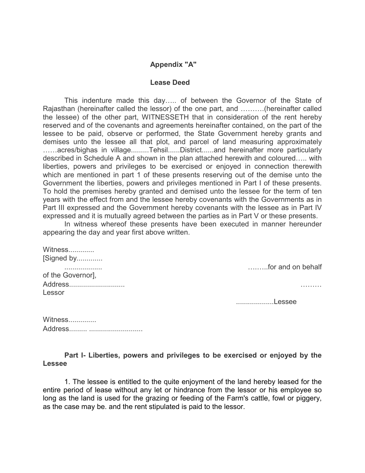### **Appendix "A"**

#### **Lease Deed**

This indenture made this day..... of between the Governor of the State of Rajasthan (hereinafter called the lessor) of the one part, and ..........(hereinafter called the lessee) of the other part, WITNESSETH that in consideration of the rent hereby reserved and of the covenants and agreements hereinafter contained, on the part of the lessee to be paid, observe or performed, the State Government hereby grants and demises unto the lessee all that plot, and parcel of land measuring approximately ......acres/bighas in village.........Tehsil......District......and hereinafter more particularly described in Schedule A and shown in the plan attached herewith and coloured..... with liberties, powers and privileges to be exercised or enjoyed in connection therewith which are mentioned in part 1 of these presents reserving out of the demise unto the Government the liberties, powers and privileges mentioned in Part I of these presents. To hold the premises hereby granted and demised unto the lessee for the term of ten years with the effect from and the lessee hereby covenants with the Governments as in Part III expressed and the Government hereby covenants with the lessee as in Part IV expressed and it is mutually agreed between the parties as in Part V or these presents.

In witness whereof these presents have been executed in manner hereunder appearing the day and year first above written.

| Witness           |                   |
|-------------------|-------------------|
| [Signed by        |                   |
| .                 | for and on behalf |
| of the Governor], |                   |
| Address           |                   |
| Lessor            |                   |
|                   | Lessee            |
|                   |                   |
|                   |                   |

| Witness |  |
|---------|--|
|         |  |

**Part I- Liberties, powers and privileges to be exercised or enjoyed by the Lessee** 

1. The lessee is entitled to the quite enjoyment of the land hereby leased for the entire period of lease without any let or hindrance from the lessor or his employee so long as the land is used for the grazing or feeding of the Farm's cattle, fowl or piggery, as the case may be. and the rent stipulated is paid to the lessor.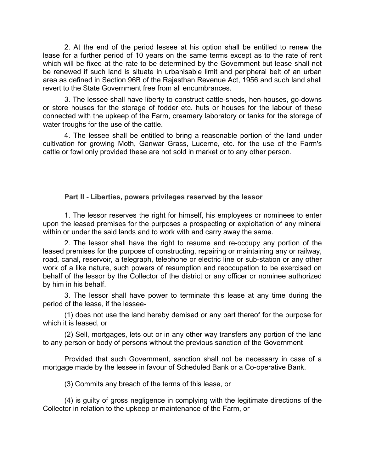2. At the end of the period lessee at his option shall be entitled to renew the lease for a further period of 10 years on the same terms except as to the rate of rent which will be fixed at the rate to be determined by the Government but lease shall not be renewed if such land is situate in urbanisable limit and peripheral belt of an urban area as defined in Section 96B of the Rajasthan Revenue Act, 1956 and such land shall revert to the State Government free from all encumbrances.

3. The lessee shall have liberty to construct cattle-sheds, hen-houses, go-downs or store houses for the storage of fodder etc. huts or houses for the labour of these connected with the upkeep of the Farm, creamery laboratory or tanks for the storage of water troughs for the use of the cattle.

4. The lessee shall be entitled to bring a reasonable portion of the land under cultivation for growing Moth, Ganwar Grass, Lucerne, etc. for the use of the Farm's cattle or fowl only provided these are not sold in market or to any other person.

#### **Part II - Liberties, powers privileges reserved by the lessor**

1. The lessor reserves the right for himself, his employees or nominees to enter upon the leased premises for the purposes a prospecting or exploitation of any mineral within or under the said lands and to work with and carry away the same.

2. The lessor shall have the right to resume and re-occupy any portion of the leased premises for the purpose of constructing, repairing or maintaining any or railway, road, canal, reservoir, a telegraph, telephone or electric line or sub-station or any other work of a like nature, such powers of resumption and reoccupation to be exercised on behalf of the lessor by the Collector of the district or any officer or nominee authorized by him in his behalf.

3. The lessor shall have power to terminate this lease at any time during the period of the lease, if the lessee-

(1) does not use the land hereby demised or any part thereof for the purpose for which it is leased, or

(2) Sell, mortgages, lets out or in any other way transfers any portion of the land to any person or body of persons without the previous sanction of the Government

Provided that such Government, sanction shall not be necessary in case of a mortgage made by the lessee in favour of Scheduled Bank or a Co-operative Bank.

(3) Commits any breach of the terms of this lease, or

(4) is guilty of gross negligence in complying with the legitimate directions of the Collector in relation to the upkeep or maintenance of the Farm, or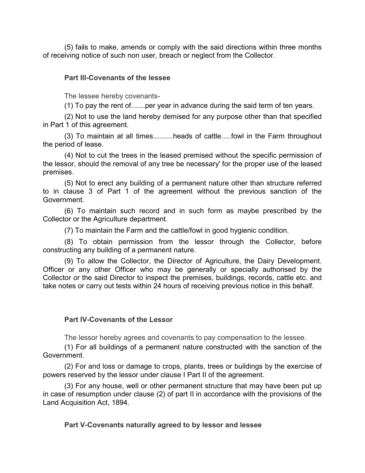(5) fails to make, amends or comply with the said directions within three months of receiving notice of such non user, breach or neglect from the Collector.

## **Part III-Covenants of the lessee**

The lessee hereby covenants-

(1) To pay the rent of.......per year in advance during the said term of ten years.

(2) Not to use the land hereby demised for any purpose other than that specified in Part 1 of this agreement.

(3) To maintain at all times..........heads of cattle.....fowl in the Farm throughout the period of lease.

(4) Not to cut the trees in the leased premised without the specific permission of the lessor, should the removal of any tree be necessary' for the proper use of the leased premises.

(5) Not to erect any building of a permanent nature other than structure referred to in clause 3 of Part 1 of the agreement without the previous sanction of the Government.

(6) To maintain such record and in such form as maybe prescribed by the Collector or the Agriculture department.

(7) To maintain the Farm and the cattle/fowl in good hygienic condition.

(8) To obtain permission from the lessor through the Collector, before constructing any building of a permanent nature.

(9) To allow the Collector, the Director of Agriculture, the Dairy Development. Officer or any other Officer who may be generally or specially authorised by the Collector or the said Director to inspect the premises, buildings, records, cattle etc. and take notes or carry out tests within 24 hours of receiving previous notice in this behalf.

### **Part IV-Covenants of the Lessor**

The lessor hereby agrees and covenants to pay compensation to the lessee.

(1) For all buildings of a permanent nature constructed with the sanction of the Government.

(2) For and loss or damage to crops, plants, trees or buildings by the exercise of powers reserved by the lessor under clause I Part II of the agreement.

(3) For any house, well or other permanent structure that may have been put up in case of resumption under clause (2) of part II in accordance with the provisions of the Land Acquisition Act, 1894.

**Part V-Covenants naturally agreed to by lessor and lessee**